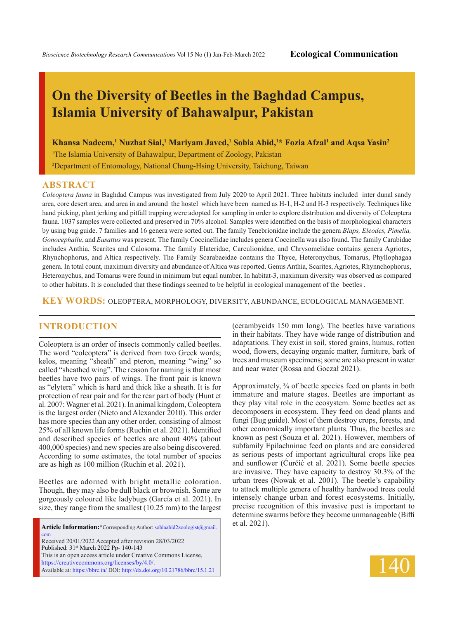# **On the Diversity of Beetles in the Baghdad Campus, Islamia University of Bahawalpur, Pakistan**

**Khansa Nadeem,<sup>1</sup> Nuzhat Sial,<sup>1</sup> Mariyam Javed,<sup>1</sup> Sobia Abid,<sup>1</sup>\* Fozia Afzal<sup>1</sup> and Aqsa Yasin<sup>2</sup>** 

<sup>1</sup>The Islamia University of Bahawalpur, Department of Zoology, Pakistan

2 Department of Entomology, National Chung-Hsing University, Taichung, Taiwan

#### **ABSTRACT**

*Coleoptera fauna* in Baghdad Campus was investigated from July 2020 to April 2021. Three habitats included inter dunal sandy area, core desert area, and area in and around the hostel which have been named as H-1, H-2 and H-3 respectively. Techniques like hand picking, plant jerking and pitfall trapping were adopted for sampling in order to explore distribution and diversity of Coleoptera fauna. 1037 samples were collected and preserved in 70% alcohol. Samples were identified on the basis of morphological characters by using bug guide. 7 families and 16 genera were sorted out. The family Tenebrionidae include the genera *Blaps, Eleodes, Pimelia, Gonocephallu*, and *Eusattus* was present. The family Coccinellidae includes genera Coccinella was also found. The family Carabidae includes Anthia, Scarites and Calosoma. The family Elateridae, Carculionidae, and Chrysomelidae contains genera Agriotes, Rhynchophorus, and Altica respectively. The Family Scarabaeidae contains the Thyce, Heteronychus, Tomarus, Phyllophagaa genera. In total count, maximum diversity and abundance of Altica was reported. Genus Anthia, Scarites, Agriotes, Rhynnchophorus, Heteronychus, and Tomarus were found in minimum but equal number. In habitat-3, maximum diversity was observed as compared to other habitats. It is concluded that these findings seemed to be helpful in ecological management of the beetles .

**KEY WORDS:** oleoptera, morphology, diversity, abundance, ecological management.

### **INTRODUCTION**

Coleoptera is an order of insects commonly called beetles. The word "coleoptera" is derived from two Greek words; kelos, meaning "sheath" and pteron, meaning "wing" so called "sheathed wing". The reason for naming is that most beetles have two pairs of wings. The front pair is known as "elytera" which is hard and thick like a sheath. It is for protection of rear pair and for the rear part of body (Hunt et al. 2007: Wagner et al. 2021). In animal kingdom, Coleoptera is the largest order (Nieto and Alexander 2010). This order has more species than any other order, consisting of almost 25% of all known life forms (Ruchin et al. 2021). Identified and described species of beetles are about 40% (about 400,000 species) and new species are also being discovered. According to some estimates, the total number of species are as high as 100 million (Ruchin et al. 2021).

Beetles are adorned with bright metallic coloration. Though, they may also be dull black or brownish. Some are gorgeously coloured like ladybugs (García et al. 2021). In size, they range from the smallest (10.25 mm) to the largest

**Article Information:\***Corresponding Author: sobiaabid2zoologist@gmail. com Received 20/01/2022 Accepted after revision 28/03/2022 Published: 31st March 2022 Pp- 140-143 This is an open access article under Creative Commons License, https://creativecommons.org/licenses/by/4.0/. Available at: https://bbrc.in/ DOI: http://dx.doi.org/10.21786/bbrc/15.1.21

(cerambycids 150 mm long). The beetles have variations in their habitats. They have wide range of distribution and adaptations. They exist in soil, stored grains, humus, rotten wood, flowers, decaying organic matter, furniture, bark of trees and museum specimens; some are also present in water and near water (Rossa and Goczał 2021).

Approximately, ¾ of beetle species feed on plants in both immature and mature stages. Beetles are important as they play vital role in the ecosystem. Some beetles act as decomposers in ecosystem. They feed on dead plants and fungi (Bug guide). Most of them destroy crops, forests, and other economically important plants. Thus, the beetles are known as pest (Souza et al. 2021). However, members of subfamily Epilachninae feed on plants and are considered as serious pests of important agricultural crops like pea and sunflower (Ćurčić et al. 2021). Some beetle species are invasive. They have capacity to destroy 30.3% of the urban trees (Nowak et al. 2001). The beetle's capability to attack multiple genera of healthy hardwood trees could intensely change urban and forest ecosystems. Initially, precise recognition of this invasive pest is important to determine swarms before they become unmanageable (Biffi et al. 2021).

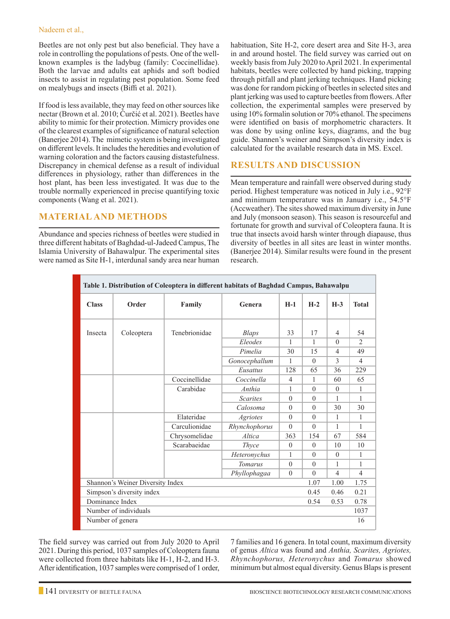#### Nadeem et al.,

Beetles are not only pest but also beneficial. They have a role in controlling the populations of pests. One of the wellknown examples is the ladybug (family: Coccinellidae). Both the larvae and adults eat aphids and soft bodied insects to assist in regulating pest population. Some feed on mealybugs and insects (Biffi et al. 2021).

If food is less available, they may feed on other sources like nectar (Brown et al. 2010; Ćurčić et al. 2021). Beetles have ability to mimic for their protection. Mimicry provides one of the clearest examples of significance of natural selection (Banerjee 2014). The mimetic system is being investigated on different levels. It includes the heredities and evolution of warning coloration and the factors causing distastefulness. Discrepancy in chemical defense as a result of individual differences in physiology, rather than differences in the host plant, has been less investigated. It was due to the trouble normally experienced in precise quantifying toxic components (Wang et al. 2021).

## **MATERIAL AND METHODS**

Abundance and species richness of beetles were studied in three different habitats of Baghdad-ul-Jadeed Campus, The Islamia University of Bahawalpur. The experimental sites were named as Site H-1, interdunal sandy area near human habituation, Site H-2, core desert area and Site H-3, area in and around hostel. The field survey was carried out on weekly basis from July 2020 to April 2021. In experimental habitats, beetles were collected by hand picking, trapping through pitfall and plant jerking techniques. Hand picking was done for random picking of beetles in selected sites and plant jerking was used to capture beetles from flowers. After collection, the experimental samples were preserved by using 10% formalin solution or 70% ethanol. The specimens were identified on basis of morphometric characters. It was done by using online keys, diagrams, and the bug guide. Shannen's weiner and Simpson's diversity index is calculated for the available research data in MS. Excel.

## **Results and Discussion**

Mean temperature and rainfall were observed during study period. Highest temperature was noticed in July i.e., 92°F and minimum temperature was in January i.e., 54.5°F (Accweather). The sites showed maximum diversity in June and July (monsoon season). This season is resourceful and fortunate for growth and survival of Coleoptera fauna. It is true that insects avoid harsh winter through diapause, thus diversity of beetles in all sites are least in winter months. (Banerjee 2014). Similar results were found in the present research.

| Table 1. Distribution of Coleoptera in different habitats of Baghdad Campus, Bahawalpu |            |               |                 |                |          |                |                             |
|----------------------------------------------------------------------------------------|------------|---------------|-----------------|----------------|----------|----------------|-----------------------------|
| <b>Class</b>                                                                           | Order      | Family        | Genera          | $H-1$          | $H-2$    | $H-3$          | <b>Total</b>                |
| Insecta                                                                                | Coleoptera | Tenebrionidae | Blaps           | 33             | 17       | 4              | 54                          |
|                                                                                        |            |               | Eleodes         | 1              | 1        | $\theta$       | $\mathcal{D}_{\mathcal{L}}$ |
|                                                                                        |            |               | Pimelia         | 30             | 15       | 4              | 49                          |
|                                                                                        |            |               | Gonocephallum   | 1              | $\Omega$ | 3              | $\overline{4}$              |
|                                                                                        |            |               | Eusattus        | 128            | 65       | 36             | 229                         |
|                                                                                        |            | Coccinellidae | Coccinella      | $\overline{4}$ | 1        | 60             | 65                          |
|                                                                                        |            | Carabidae     | Anthia          | 1              | $\theta$ | $\overline{0}$ | $\mathbf{1}$                |
|                                                                                        |            |               | <b>Scarites</b> | $\theta$       | $\theta$ | 1              | 1                           |
|                                                                                        |            |               | Calosoma        | $\Omega$       | $\Omega$ | 30             | 30                          |
|                                                                                        |            | Elateridae    | <i>Agriotes</i> | $\theta$       | $\theta$ | 1              | $\mathbf{1}$                |
|                                                                                        |            | Carculionidae | Rhynchophorus   | $\Omega$       | $\Omega$ | 1              | 1                           |
|                                                                                        |            | Chrysomelidae | Altica          | 363            | 154      | 67             | 584                         |
|                                                                                        |            | Scarabaeidae  | <b>Thyce</b>    | $\theta$       | $\theta$ | 10             | 10                          |
|                                                                                        |            |               | Heteronychus    | 1              | $\Omega$ | $\theta$       | $\mathbf{1}$                |
|                                                                                        |            |               | <b>Tomarus</b>  | $\theta$       | $\theta$ | 1              | 1                           |
|                                                                                        |            |               | Phyllophagaa    | $\theta$       | $\Omega$ | 4              | 4                           |
| Shannon's Weiner Diversity Index<br>1.07<br>1.00                                       |            |               |                 |                |          | 1.75           |                             |
| Simpson's diversity index<br>0.45<br>0.46                                              |            |               |                 |                |          |                | 0.21                        |
| Dominance Index<br>0.53<br>0.54                                                        |            |               |                 |                |          |                | 0.78                        |
| Number of individuals                                                                  |            |               |                 |                |          |                | 1037                        |
| Number of genera                                                                       |            |               |                 |                |          |                | 16                          |

The field survey was carried out from July 2020 to April 2021. During this period, 1037 samples of Coleoptera fauna were collected from three habitats like H-1, H-2, and H-3. After identification, 1037 samples were comprised of 1 order, 7 families and 16 genera. In total count, maximum diversity of genus *Altica* was found and *Anthia, Scarites, Agriotes, Rhynchophorus, Heteronychus* and *Tomarus* showed minimum but almost equal diversity. Genus Blaps is present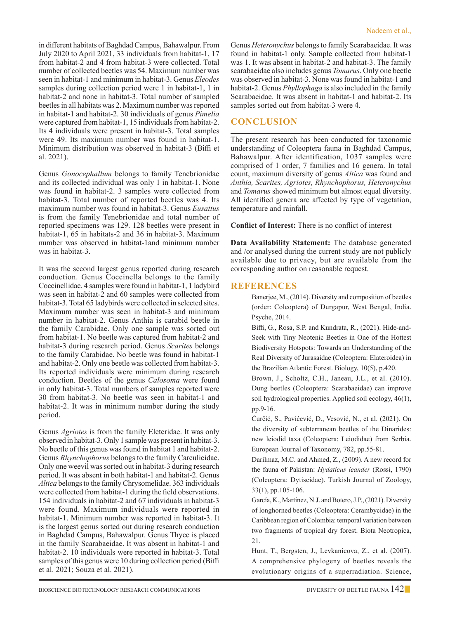in different habitats of Baghdad Campus, Bahawalpur. From July 2020 to April 2021, 33 individuals from habitat-1, 17 from habitat-2 and 4 from habitat-3 were collected. Total number of collected beetles was 54. Maximum number was seen in habitat-1 and minimum in habitat-3. Genus *Eleodes*  samples during collection period were 1 in habitat-1, 1 in habitat-2 and none in habitat-3. Total number of sampled beetles in all habitats was 2. Maximum number was reported in habitat-1 and habitat-2. 30 individuals of genus *Pimelia*  were captured from habitat-1, 15 individuals from habitat-2. Its 4 individuals were present in habitat-3. Total samples were 49. Its maximum number was found in habitat-1. Minimum distribution was observed in habitat-3 (Biffi et al. 2021).

Genus *Gonocephallum* belongs to family Tenebrionidae and its collected individual was only 1 in habitat-1. None was found in habitat-2. 3 samples were collected from habitat-3. Total number of reported beetles was 4. Its maximum number was found in habitat-3. Genus *Eusattus*  is from the family Tenebrionidae and total number of reported specimens was 129. 128 beetles were present in habitat-1, 65 in habitats-2 and 36 in habitat-3. Maximum number was observed in habitat-1and minimum number was in habitat-3.

It was the second largest genus reported during research conduction. Genus Coccinella belongs to the family Coccinellidae. 4 samples were found in habitat-1, 1 ladybird was seen in habitat-2 and 60 samples were collected from habitat-3. Total 65 ladybirds were collected in selected sites. Maximum number was seen in habitat-3 and minimum number in habitat-2. Genus Anthia is carabid beetle in the family Carabidae. Only one sample was sorted out from habitat-1. No beetle was captured from habitat-2 and habitat-3 during research period. Genus *Scarites* belongs to the family Carabidae. No beetle was found in habitat-1 and habitat-2. Only one beetle was collected from habitat-3. Its reported individuals were minimum during research conduction. Beetles of the genus *Calosoma* were found in only habitat-3. Total numbers of samples reported were 30 from habitat-3. No beetle was seen in habitat-1 and habitat-2. It was in minimum number during the study period.

Genus *Agriotes* is from the family Eleteridae. It was only observed in habitat-3. Only 1 sample was present in habitat-3. No beetle of this genus was found in habitat 1 and habitat-2. Genus *Rhynchophorus* belongs to the family Carculicidae. Only one weevil was sorted out in habitat-3 during research period. It was absent in both habitat-1 and habitat-2. Genus *Altica* belongs to the family Chrysomelidae. 363 individuals were collected from habitat-1 during the field observations. 154 individuals in habitat-2 and 67 individuals in habitat-3 were found. Maximum individuals were reported in habitat-1. Minimum number was reported in habitat-3. It is the largest genus sorted out during research conduction in Baghdad Campus, Bahawalpur. Genus Thyce is placed in the family Scarabaeidae. It was absent in habitat-1 and habitat-2. 10 individuals were reported in habitat-3. Total samples of this genus were 10 during collection period (Biffi et al. 2021; Souza et al. 2021).

Genus *Heteronychus* belongs to family Scarabaeidae. It was found in habitat-1 only. Sample collected from habitat-1 was 1. It was absent in habitat-2 and habitat-3. The family scarabaeidae also includes genus *Tomarus*. Only one beetle was observed in habitat-3. None was found in habitat-1 and habitat-2. Genus *Phyllophaga* is also included in the family Scarabaeidae. It was absent in habitat-1 and habitat-2. Its samples sorted out from habitat-3 were 4.

## **Conclusion**

The present research has been conducted for taxonomic understanding of Coleoptera fauna in Baghdad Campus, Bahawalpur. After identification, 1037 samples were comprised of 1 order, 7 families and 16 genera. In total count, maximum diversity of genus *Altica* was found and *Anthia, Scarites, Agriotes, Rhynchophorus, Heteronychus*  and *Tomarus* showed minimum but almost equal diversity. All identified genera are affected by type of vegetation, temperature and rainfall.

**Conflict of Interest:** There is no conflict of interest

**Data Availability Statement:** The database generated and /or analysed during the current study are not publicly available due to privacy, but are available from the corresponding author on reasonable request.

## **References**

Banerjee, M., (2014). Diversity and composition of beetles (order: Coleoptera) of Durgapur, West Bengal, India. Psyche, 2014.

Biffi, G., Rosa, S.P. and Kundrata, R., (2021). Hide-and-Seek with Tiny Neotenic Beetles in One of the Hottest Biodiversity Hotspots: Towards an Understanding of the Real Diversity of Jurasaidae (Coleoptera: Elateroidea) in the Brazilian Atlantic Forest. Biology, 10(5), p.420.

Brown, J., Scholtz, C.H., Janeau, J.L., et al. (2010). Dung beetles (Coleoptera: Scarabaeidae) can improve soil hydrological properties. Applied soil ecology, 46(1), pp.9-16.

Ćurčić, S., Pavićević, D., Vesović, N., et al. (2021). On the diversity of subterranean beetles of the Dinarides: new leiodid taxa (Coleoptera: Leiodidae) from Serbia. European Journal of Taxonomy, 782, pp.55-81.

 Darilmaz, M.C. and Ahmed, Z., (2009). A new record for the fauna of Pakistan: *Hydaticus leander* (Rossi, 1790) (Coleoptera: Dytiscidae). Turkish Journal of Zoology, 33(1), pp.105-106.

García, K., Martínez, N.J. and Botero, J.P., (2021). Diversity of longhorned beetles (Coleoptera: Cerambycidae) in the Caribbean region of Colombia: temporal variation between two fragments of tropical dry forest. Biota Neotropica, 21.

Hunt, T., Bergsten, J., Levkanicova, Z., et al. (2007). A comprehensive phylogeny of beetles reveals the evolutionary origins of a superradiation. Science,